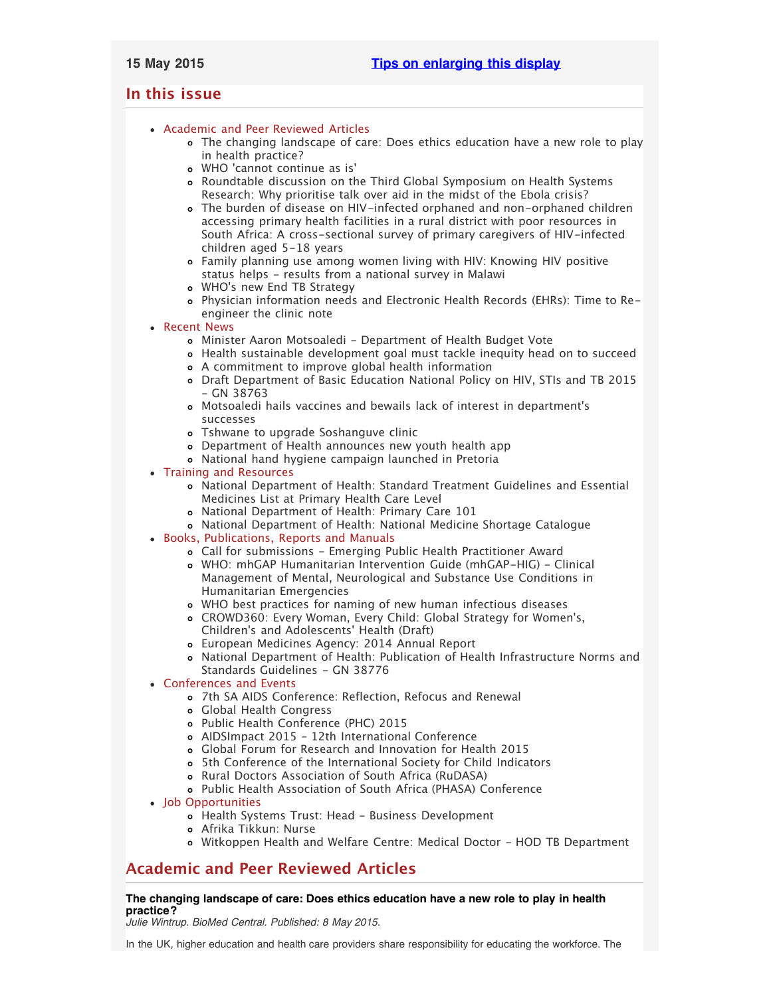# <span id="page-0-2"></span>**In this issue**

# [Academic and Peer Reviewed Articles](#page-0-0)

- [The changing landscape of care: Does ethics education have a new role to play](#page-0-1) [in health practice?](#page-0-1)
- WHO ['cannot continue as is'](#page-1-0)
- [Roundtable discussion on the Third Global Symposium on Health Systems](#page-1-1) [Research: Why prioritise talk over aid in the midst of the Ebola crisis?](#page-1-1)
- [The burden of disease on HIV-infected orphaned and non-orphaned children](#page-1-2) [accessing primary health facilities in a rural district with poor resources in](#page-1-2) [South Africa: A cross-sectional survey of primary caregivers of HIV-infected](#page-1-2) [children aged 5-18 years](#page-1-2)
- [Family planning use among women living with HIV: Knowing HIV positive](#page-1-3) [status helps - results from a national survey in Malawi](#page-1-3)
- WHO['s new End TB Strategy](#page-1-4)
- [Physician information needs and Electronic Health Records \(EHRs\): Time to Re](#page-1-5)[engineer the clinic note](#page-1-5)
- [Recent News](#page-1-6)
	- [Minister Aaron Motsoaledi Department of Health Budget Vote](#page-2-0)
	- [Health sustainable development goal must tackle inequity head on to succeed](#page-2-1)
	- [A commitment to improve global health information](#page-2-2)
	- [Draft Department of Basic Education National Policy on HIV, STIs and TB 2015](#page-2-3)  $-$  GN 38763
	- [Motsoaledi hails vaccines and bewails lack of interest in department](#page-2-4)'s [successes](#page-2-4)
	- [Tshwane to upgrade Soshanguve clinic](#page-2-5)
	- [Department of Health announces new youth health app](#page-2-6)
	- [National hand hygiene campaign launched in Pretoria](#page-3-0)
- [Training and Resources](#page-3-1)
	- [National Department of Health: Standard Treatment Guidelines and Essential](#page-3-2) [Medicines List at Primary Health Care Level](#page-3-2)
	- [National Department of Health: Primary Care 101](#page-3-3)
	- [National Department of Health: National Medicine Shortage Catalogue](#page-3-4)
- [Books, Publications, Reports and Manuals](#page-3-5)
	- [Call for submissions Emerging Public Health Practitioner Award](#page-3-6)
		- [WHO: mhGAP Humanitarian Intervention Guide \(mhGAP-HIG\) Clinical](#page-3-7) [Management of Mental, Neurological and Substance Use Conditions in](#page-3-7) [Humanitarian Emergencies](#page-3-7)
		- [WHO best practices for naming of new human infectious diseases](#page-3-8)
		- [CROWD360: Every Woman, Every Child: Global Strategy for Women](#page-3-9)'s, Children['s and Adolescents' Health \(Draft\)](#page-3-9)
		- [European Medicines Agency: 2014 Annual Report](#page-4-0)
		- [National Department of Health: Publication of Health Infrastructure Norms and](#page-4-1) [Standards Guidelines - GN 38776](#page-4-1)
- [Conferences and Events](#page-4-2)
	- [7th SA AIDS Conference: Reflection, Refocus and Renewal](#page-4-3)
	- [Global Health Congress](#page-4-4)
	- [Public Health Conference \(PHC\) 2015](#page-4-5)
	- [AIDSImpact 2015 12th International Conference](#page-4-6)
	- [Global Forum for Research and Innovation for Health 2015](#page-4-7)
	- [5th Conference of the International Society for Child Indicators](#page-5-0)
	- o [Rural Doctors Association of South Africa \(RuDASA\)](#page-5-1)
	- [Public Health Association of South Africa \(PHASA\) Conference](#page-5-2)
- [Job Opportunities](#page-5-3)
	- [Health Systems Trust: Head Business Development](#page-5-4)
	- [Afrika Tikkun: Nurse](#page-5-5)
	- [Witkoppen Health and Welfare Centre: Medical Doctor HOD TB Department](#page-5-6)

# <span id="page-0-0"></span>**Academic and Peer Reviewed Articles**

# <span id="page-0-1"></span>**The changing landscape of care: Does ethics education have a new role to play in health practice?**

*Julie Wintrup. BioMed Central. Published: 8 May 2015.*

In the UK, higher education and health care providers share responsibility for educating the workforce. The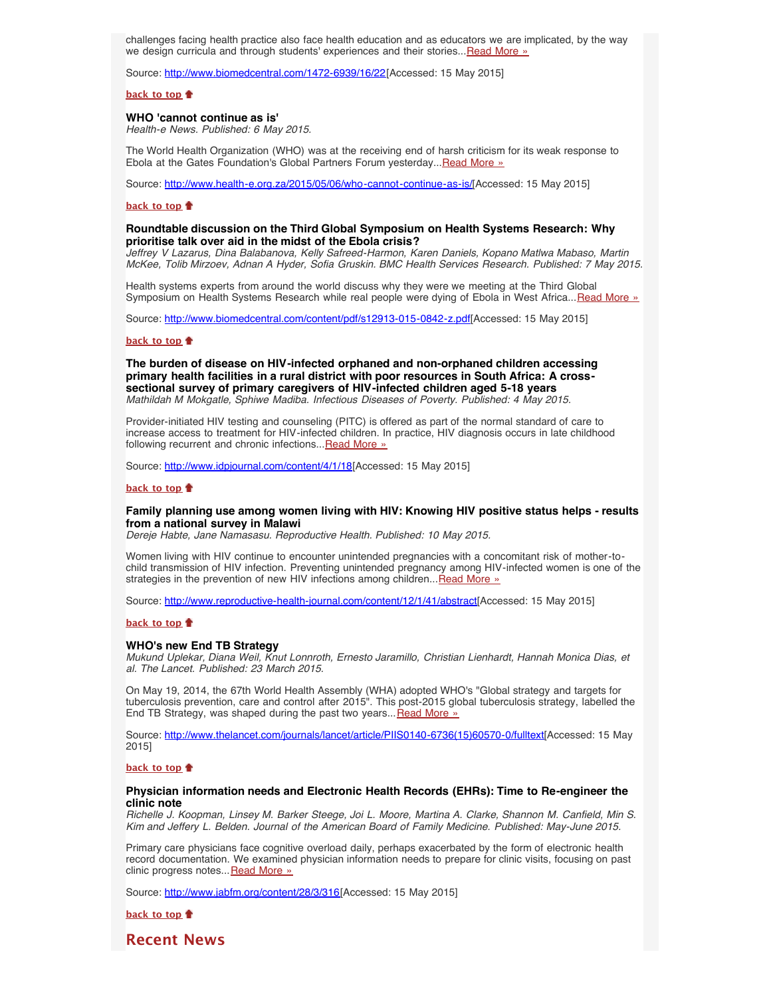challenges facing health practice also face health education and as educators we are implicated, by the way we design curricula and through students' experiences and their stories...[Read More »](http://www.biomedcentral.com/1472-6939/16/22)

Source: <http://www.biomedcentral.com/1472-6939/16/22>[Accessed: 15 May 2015]

**[back to top](#page-0-2)**

# <span id="page-1-0"></span>**WHO 'cannot continue as is'**

*Health-e News. Published: 6 May 2015.*

The World Health Organization (WHO) was at the receiving end of harsh criticism for its weak response to Ebola at the Gates Foundation's Global Partners Forum yesterday... Read More »

Source: [http://www.health-e.org.za/2015/05/06/who-cannot-continue-as-is/\[](http://www.health-e.org.za/2015/05/06/who-cannot-continue-as-is/)Accessed: 15 May 2015]

## **[back to top](#page-0-2)**

# <span id="page-1-1"></span>**Roundtable discussion on the Third Global Symposium on Health Systems Research: Why prioritise talk over aid in the midst of the Ebola crisis?**

*Jeffrey V Lazarus, Dina Balabanova, Kelly Safreed-Harmon, Karen Daniels, Kopano Matlwa Mabaso, Martin McKee, Tolib Mirzoev, Adnan A Hyder, Sofia Gruskin. BMC Health Services Research. Published: 7 May 2015.*

Health systems experts from around the world discuss why they were we meeting at the Third Global Symposium on Health Systems Research while real people were dying of Ebola in West Africa... [Read More »](http://www.hst.org.za/news/roundtable-discussion-third-global-symposium-health-systems-research-why-prioritise-talk-over-a)

Source: [http://www.biomedcentral.com/content/pdf/s12913-015-0842-z.pdf\[](http://www.biomedcentral.com/content/pdf/s12913-015-0842-z.pdf)Accessed: 15 May 2015]

#### **[back to top](#page-0-2)**

<span id="page-1-2"></span>**The burden of disease on HIV-infected orphaned and non-orphaned children accessing primary health facilities in a rural district with poor resources in South Africa: A crosssectional survey of primary caregivers of HIV-infected children aged 5-18 years** *Mathildah M Mokgatle, Sphiwe Madiba. Infectious Diseases of Poverty. Published: 4 May 2015.*

Provider-initiated HIV testing and counseling (PITC) is offered as part of the normal standard of care to increase access to treatment for HIV-infected children. In practice, HIV diagnosis occurs in late childhood following recurrent and chronic infections... [Read More »](http://www.idpjournal.com/content/4/1/18)

Source: <http://www.idpjournal.com/content/4/1/18>[Accessed: 15 May 2015]

#### **[back to top](#page-0-2)**

# <span id="page-1-3"></span>**Family planning use among women living with HIV: Knowing HIV positive status helps - results from a national survey in Malawi**

*Dereje Habte, Jane Namasasu. Reproductive Health. Published: 10 May 2015.*

Women living with HIV continue to encounter unintended pregnancies with a concomitant risk of mother-tochild transmission of HIV infection. Preventing unintended pregnancy among HIV-infected women is one of the strategies in the prevention of new HIV infections among children... Read More »

Source: <http://www.reproductive-health-journal.com/content/12/1/41/abstract>[Accessed: 15 May 2015]

#### **[back to top](#page-0-2)**

#### <span id="page-1-4"></span>**WHO's new End TB Strategy**

*Mukund Uplekar, Diana Weil, Knut Lonnroth, Ernesto Jaramillo, Christian Lienhardt, Hannah Monica Dias, et al. The Lancet. Published: 23 March 2015.*

On May 19, 2014, the 67th World Health Assembly (WHA) adopted WHO's "Global strategy and targets for tuberculosis prevention, care and control after 2015". This post-2015 global tuberculosis strategy, labelled the End TB Strategy, was shaped during the past two years... [Read More »](http://www.thelancet.com/journals/lancet/article/PIIS0140-6736(15)60570-0/fulltext)

Source: [http://www.thelancet.com/journals/lancet/article/PIIS0140-6736\(15\)60570-0/fulltext\[](http://www.thelancet.com/journals/lancet/article/PIIS0140-6736(15)60570-0/fulltext)Accessed: 15 May 2015]

#### **[back to top](#page-0-2)**

# <span id="page-1-5"></span>**Physician information needs and Electronic Health Records (EHRs): Time to Re-engineer the clinic note**

*Richelle J. Koopman, Linsey M. Barker Steege, Joi L. Moore, Martina A. Clarke, Shannon M. Canfield, Min S. Kim and Jeffery L. Belden. Journal of the American Board of Family Medicine. Published: May-June 2015.*

Primary care physicians face cognitive overload daily, perhaps exacerbated by the form of electronic health record documentation. We examined physician information needs to prepare for clinic visits, focusing on past clinic progress notes... [Read More »](http://www.jabfm.org/content/28/3/316)

Source: [http://www.jabfm.org/content/28/3/316\[](http://www.jabfm.org/content/28/3/316)Accessed: 15 May 2015]

**[back to top](#page-0-2)**

<span id="page-1-6"></span>**Recent News**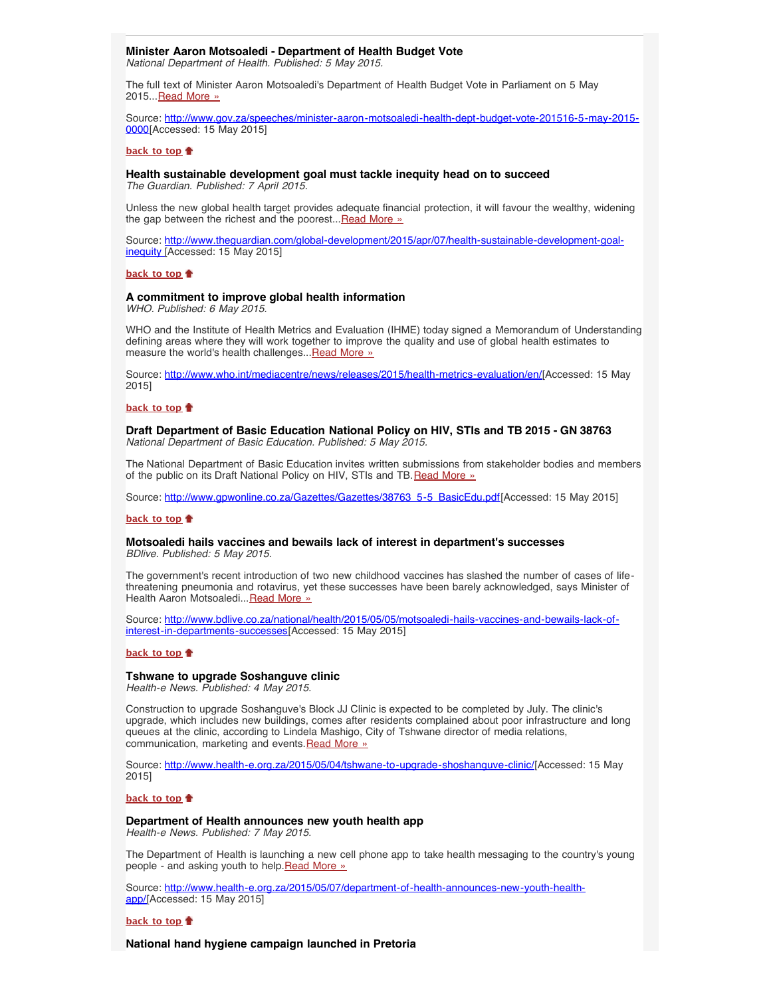# **Minister Aaron Motsoaledi - Department of Health Budget Vote**

<span id="page-2-0"></span>*National Department of Health. Published: 5 May 2015.*

The full text of Minister Aaron Motsoaledi's Department of Health Budget Vote in Parliament on 5 May 2015... [Read More »](http://www.hst.org.za/news/minister-aaron-motsoaledi-health-dept-budget-vote-201516)

Source: [http://www.gov.za/speeches/minister-aaron-motsoaledi-health-dept-budget-vote-201516-5-may-2015-](http://www.gov.za/speeches/minister-aaron-motsoaledi-health-dept-budget-vote-201516-5-may-2015-0000) [0000\[](http://www.gov.za/speeches/minister-aaron-motsoaledi-health-dept-budget-vote-201516-5-may-2015-0000)Accessed: 15 May 2015]

#### **[back to top](#page-0-2)**

#### <span id="page-2-1"></span>**Health sustainable development goal must tackle inequity head on to succeed**

*The Guardian. Published: 7 April 2015.*

Unless the new global health target provides adequate financial protection, it will favour the wealthy, widening the gap between the richest and the poorest... [Read More »](http://www.theguardian.com/global-development/2015/apr/07/health-sustainable-development-goal-inequity)

Source: [http://www.theguardian.com/global-development/2015/apr/07/health-sustainable-development-goal](http://www.theguardian.com/global-development/2015/apr/07/health-sustainable-development-goal-inequity)[inequity \[](http://www.theguardian.com/global-development/2015/apr/07/health-sustainable-development-goal-inequity)Accessed: 15 May 2015]

### **[back to top](#page-0-2)**

### <span id="page-2-2"></span>**A commitment to improve global health information**

*WHO. Published: 6 May 2015.*

WHO and the Institute of Health Metrics and Evaluation (IHME) today signed a Memorandum of Understanding defining areas where they will work together to improve the quality and use of global health estimates to measure the world's health challenges... [Read More »](http://www.who.int/mediacentre/news/releases/2015/health-metrics-evaluation/en/)

Source: [http://www.who.int/mediacentre/news/releases/2015/health-metrics-evaluation/en/\[](http://www.who.int/mediacentre/news/releases/2015/health-metrics-evaluation/en/)Accessed: 15 May 2015]

## **[back to top](#page-0-2)**

<span id="page-2-3"></span>**Draft Department of Basic Education National Policy on HIV, STIs and TB 2015 - GN 38763** *National Department of Basic Education. Published: 5 May 2015.*

The National Department of Basic Education invites written submissions from stakeholder bodies and members of the public on its Draft National Policy on HIV, STIs and TB. [Read More »](http://www.hst.org.za/publications/draft-department-basic-education-national-policy-hiv-stis-and-tb-2015-gn-38763)

Source: [http://www.gpwonline.co.za/Gazettes/Gazettes/38763\\_5-5\\_BasicEdu.pdf\[](http://www.gpwonline.co.za/Gazettes/Gazettes/38763_5-5_BasicEdu.pdf)Accessed: 15 May 2015]

#### **[back to top](#page-0-2)**

## <span id="page-2-4"></span>**Motsoaledi hails vaccines and bewails lack of interest in department's successes** *BDlive. Published: 5 May 2015.*

The government's recent introduction of two new childhood vaccines has slashed the number of cases of lifethreatening pneumonia and rotavirus, yet these successes have been barely acknowledged, says Minister of Health Aaron Motsoaledi... [Read More »](http://www.hst.org.za/news/motsoaledi-hails-vaccines-and-bewails-lack-interest-department-s-successes)

Source: [http://www.bdlive.co.za/national/health/2015/05/05/motsoaledi-hails-vaccines-and-bewails-lack-of](http://www.bdlive.co.za/national/health/2015/05/05/motsoaledi-hails-vaccines-and-bewails-lack-of-interest-in-departments-successes)[interest-in-departments-successes](http://www.bdlive.co.za/national/health/2015/05/05/motsoaledi-hails-vaccines-and-bewails-lack-of-interest-in-departments-successes)[Accessed: 15 May 2015]

#### **[back to top](#page-0-2)**

## <span id="page-2-5"></span>**Tshwane to upgrade Soshanguve clinic**

*Health-e News. Published: 4 May 2015.*

Construction to upgrade Soshanguve's Block JJ Clinic is expected to be completed by July. The clinic's upgrade, which includes new buildings, comes after residents complained about poor infrastructure and long queues at the clinic, according to Lindela Mashigo, City of Tshwane director of media relations, communication, marketing and events. [Read More »](http://www.hst.org.za/news/tshwane-upgrade-soshanguve-clinic)

Source: [http://www.health-e.org.za/2015/05/04/tshwane-to-upgrade-shoshanguve-clinic/\[](http://www.health-e.org.za/2015/05/04/tshwane-to-upgrade-shoshanguve-clinic/)Accessed: 15 May 2015]

**[back to top](#page-0-2)**

# <span id="page-2-6"></span>**Department of Health announces new youth health app**

*Health-e News. Published: 7 May 2015.*

The Department of Health is launching a new cell phone app to take health messaging to the country's young people - and asking youth to help. [Read More »](http://www.hst.org.za/news/department-health-announces-new-youth-health-app)

Source: [http://www.health-e.org.za/2015/05/07/department-of-health-announces-new-youth-health](http://www.health-e.org.za/2015/05/07/department-of-health-announces-new-youth-health-app/)[app/\[](http://www.health-e.org.za/2015/05/07/department-of-health-announces-new-youth-health-app/)Accessed: 15 May 2015]

### **[back to top](#page-0-2)**

**National hand hygiene campaign launched in Pretoria**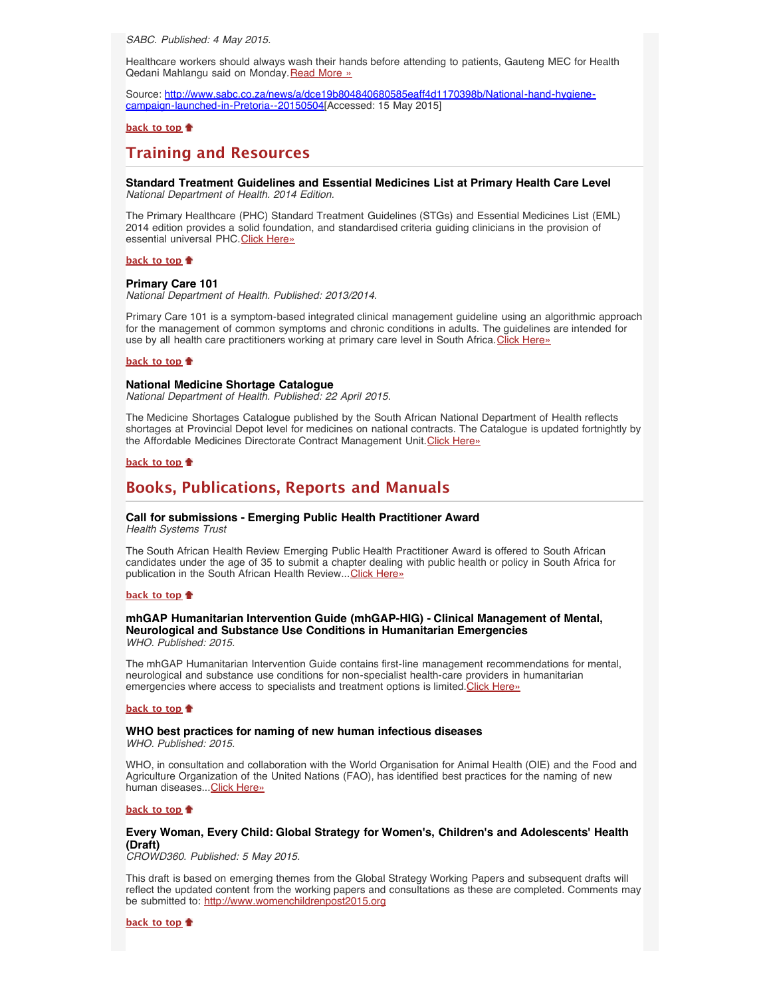<span id="page-3-0"></span>*SABC. Published: 4 May 2015.*

Healthcare workers should always wash their hands before attending to patients, Gauteng MEC for Health Qedani Mahlangu said on Monday. [Read More »](http://www.hst.org.za/news/national-hand-hygiene-campaign-launched-pretoria)

Source: [http://www.sabc.co.za/news/a/dce19b804840680585eaff4d1170398b/National-hand-hygiene](http://www.sabc.co.za/news/a/dce19b804840680585eaff4d1170398b/National-hand-hygiene-campaign-launched-in-Pretoria--20150504)[campaign-launched-in-Pretoria--20150504\[](http://www.sabc.co.za/news/a/dce19b804840680585eaff4d1170398b/National-hand-hygiene-campaign-launched-in-Pretoria--20150504)Accessed: 15 May 2015]

# **[back to top](#page-0-2)**

# <span id="page-3-1"></span>**Training and Resources**

<span id="page-3-2"></span>**Standard Treatment Guidelines and Essential Medicines List at Primary Health Care Level** *National Department of Health. 2014 Edition.*

The Primary Healthcare (PHC) Standard Treatment Guidelines (STGs) and Essential Medicines List (EML) 2014 edition provides a solid foundation, and standardised criteria guiding clinicians in the provision of essential universal PHC. [Click Here»](http://www.doh.gov.za/docs/EDP/PrimaryHealthCarelevel2014.pdf)

**[back to top](#page-0-2)**

# <span id="page-3-3"></span>**Primary Care 101**

*National Department of Health. Published: 2013/2014.*

Primary Care 101 is a symptom-based integrated clinical management guideline using an algorithmic approach for the management of common symptoms and chronic conditions in adults. The guidelines are intended for use by all health care practitioners working at primary care level in South Africa. [Click Here»](http://www.hst.org.za/publications/primary-health-care-101)

#### **[back to top](#page-0-2)**

#### <span id="page-3-4"></span>**National Medicine Shortage Catalogue**

*National Department of Health. Published: 22 April 2015.*

The Medicine Shortages Catalogue published by the South African National Department of Health reflects shortages at Provincial Depot level for medicines on national contracts. The Catalogue is updated fortnightly by the Affordable Medicines Directorate Contract Management Unit. [Click Here»](http://www.doh.gov.za/docs/EDP/NationalMedicineShortagesCatalogue.pdf)

# **[back to top](#page-0-2)**

# <span id="page-3-5"></span>**Books, Publications, Reports and Manuals**

# <span id="page-3-6"></span>**Call for submissions - Emerging Public Health Practitioner Award**

*Health Systems Trust*

The South African Health Review Emerging Public Health Practitioner Award is offered to South African candidates under the age of 35 to submit a chapter dealing with public health or policy in South Africa for publication in the South African Health Review... [Click Here»](http://www.hst.org.za/news/call-submissions-emerging-public-health-practitioner-award)

#### **[back to top](#page-0-2)**

## <span id="page-3-7"></span>**mhGAP Humanitarian Intervention Guide (mhGAP-HIG) - Clinical Management of Mental, Neurological and Substance Use Conditions in Humanitarian Emergencies** *WHO. Published: 2015.*

The mhGAP Humanitarian Intervention Guide contains first-line management recommendations for mental, neurological and substance use conditions for non-specialist health-care providers in humanitarian emergencies where access to specialists and treatment options is limited.[Click Here»](http://www.hst.org.za/publications/mhgap-humanitarian-intervention-guide-mhgap-hig-clinical-management-mental-neurological)

#### **[back to top](#page-0-2)**

#### <span id="page-3-8"></span>**WHO best practices for naming of new human infectious diseases** *WHO. Published: 2015.*

WHO, in consultation and collaboration with the World Organisation for Animal Health (OIE) and the Food and Agriculture Organization of the United Nations (FAO), has identified best practices for the naming of new human diseases...[Click Here»](http://www.hst.org.za/publications/who-best-practices-naming-new-human-infectious-diseases)

## **[back to top](#page-0-2)**

# <span id="page-3-9"></span>**Every Woman, Every Child: Global Strategy for Women's, Children's and Adolescents' Health (Draft)**

*CROWD360. Published: 5 May 2015.*

This draft is based on emerging themes from the Global Strategy Working Papers and subsequent drafts will reflect the updated content from the working papers and consultations as these are completed. Comments may be submitted to: [http://www.womenchildrenpost2015.org](http://www.womenchildrenpost2015.org/)

**[back to top](#page-0-2)**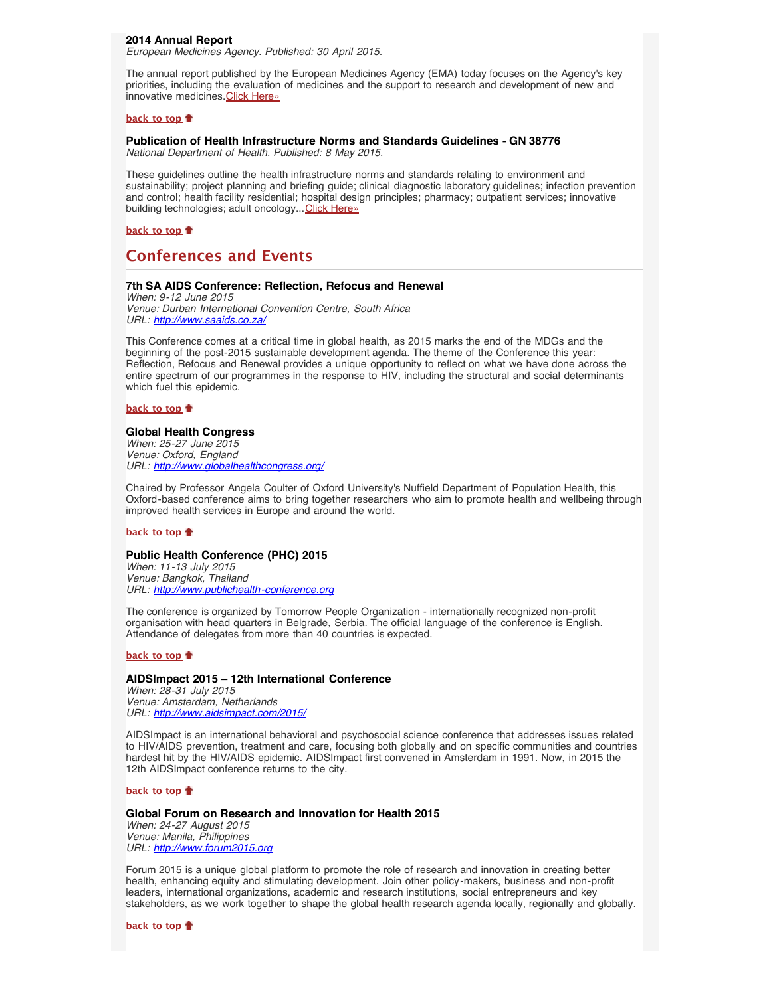# <span id="page-4-0"></span>**2014 Annual Report**

*European Medicines Agency. Published: 30 April 2015.*

The annual report published by the European Medicines Agency (EMA) today focuses on the Agency's key priorities, including the evaluation of medicines and the support to research and development of new and innovative medicines. [Click Here»](http://www.hst.org.za/publications/european-medicines-agency-2014-annual-report)

#### **[back to top](#page-0-2)**

# <span id="page-4-1"></span>**Publication of Health Infrastructure Norms and Standards Guidelines - GN 38776**

*National Department of Health. Published: 8 May 2015.*

These guidelines outline the health infrastructure norms and standards relating to environment and sustainability; project planning and briefing guide; clinical diagnostic laboratory guidelines; infection prevention and control; health facility residential; hospital design principles; pharmacy; outpatient services; innovative building technologies; adult oncology... [Click Here»](http://www.hst.org.za/publications/publication-health-infrastructure-norms-and-standards-guidelines-gn-38776)

**[back to top](#page-0-2)**

# <span id="page-4-2"></span>**Conferences and Events**

# <span id="page-4-3"></span>**7th SA AIDS Conference: Reflection, Refocus and Renewal**

*When: 9-12 June 2015 Venue: Durban International Convention Centre, South Africa URL: <http://www.saaids.co.za/>*

This Conference comes at a critical time in global health, as 2015 marks the end of the MDGs and the beginning of the post-2015 sustainable development agenda. The theme of the Conference this year: Reflection, Refocus and Renewal provides a unique opportunity to reflect on what we have done across the entire spectrum of our programmes in the response to HIV, including the structural and social determinants which fuel this epidemic.

# **[back to top](#page-0-2)**

# <span id="page-4-4"></span>**Global Health Congress**

*When: 25-27 June 2015 Venue: Oxford, England URL: <http://www.globalhealthcongress.org/>*

Chaired by Professor Angela Coulter of Oxford University's Nuffield Department of Population Health, this Oxford-based conference aims to bring together researchers who aim to promote health and wellbeing through improved health services in Europe and around the world.

## **[back to top](#page-0-2)**

# <span id="page-4-5"></span>**Public Health Conference (PHC) 2015**

*When: 11-13 July 2015 Venue: Bangkok, Thailand URL: [http://www.publichealth-conference.org](http://www.publichealth-conference.org/)*

The conference is organized by Tomorrow People Organization - internationally recognized non-profit organisation with head quarters in Belgrade, Serbia. The official language of the conference is English. Attendance of delegates from more than 40 countries is expected.

## **[back to top](#page-0-2)**

# <span id="page-4-6"></span>**AIDSImpact 2015 – 12th International Conference**

*When: 28-31 July 2015 Venue: Amsterdam, Netherlands URL: <http://www.aidsimpact.com/2015/>*

AIDSImpact is an international behavioral and psychosocial science conference that addresses issues related to HIV/AIDS prevention, treatment and care, focusing both globally and on specific communities and countries hardest hit by the HIV/AIDS epidemic. AIDSImpact first convened in Amsterdam in 1991. Now, in 2015 the 12th AIDSImpact conference returns to the city.

## **[back to top](#page-0-2)**

# <span id="page-4-7"></span>**Global Forum on Research and Innovation for Health 2015**

*When: 24-27 August 2015 Venue: Manila, Philippines URL: [http://www.forum2015.org](http://www.forum2015.org/)*

Forum 2015 is a unique global platform to promote the role of research and innovation in creating better health, enhancing equity and stimulating development. Join other policy-makers, business and non-profit leaders, international organizations, academic and research institutions, social entrepreneurs and key stakeholders, as we work together to shape the global health research agenda locally, regionally and globally.

#### **[back to top](#page-0-2)**